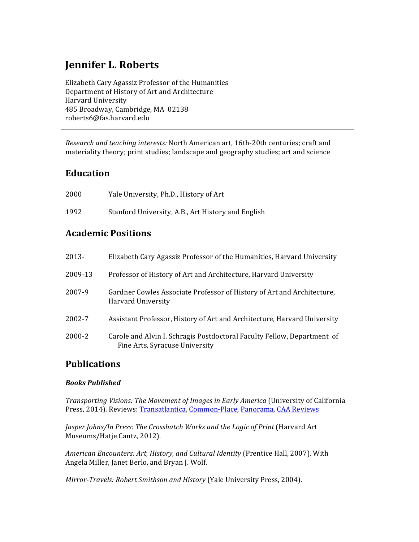# **Jennifer L. Roberts**

Elizabeth Cary Agassiz Professor of the Humanities Department of History of Art and Architecture Harvard University 485 Broadway, Cambridge, MA 02138 roberts6@fas.harvard.edu

*Research and teaching interests:* North American art, 16th-20th centuries; craft and materiality theory; print studies; landscape and geography studies; art and science

# **Education**

| 2000 | Yale University, Ph.D., History of Art             |
|------|----------------------------------------------------|
| 1992 | Stanford University, A.B., Art History and English |

# **Academic Positions**

| 2013-   | Elizabeth Cary Agassiz Professor of the Humanities, Harvard University                                    |
|---------|-----------------------------------------------------------------------------------------------------------|
| 2009-13 | Professor of History of Art and Architecture, Harvard University                                          |
| 2007-9  | Gardner Cowles Associate Professor of History of Art and Architecture,<br>Harvard University              |
| 2002-7  | Assistant Professor, History of Art and Architecture, Harvard University                                  |
| 2000-2  | Carole and Alvin I. Schragis Postdoctoral Faculty Fellow, Department of<br>Fine Arts, Syracuse University |

# **Publications**

# *Books Published*

*Transporting Visions: The Movement of Images in Early America* (University of California Press, 2014). Reviews: Transatlantica, Common-Place, Panorama, CAA Reviews

Jasper Johns/In Press: The Crosshatch Works and the Logic of Print (Harvard Art Museums/Hatje Cantz, 2012).

*American Encounters: Art, History, and Cultural Identity* (Prentice Hall, 2007). With Angela Miller, Janet Berlo, and Bryan J. Wolf.

*Mirror-Travels: Robert Smithson and History* (Yale University Press, 2004).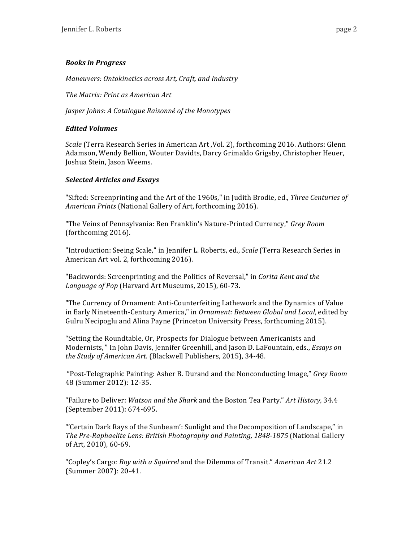# *Books in Progress*

*Maneuvers: Ontokinetics across Art, Craft, and Industry*

*The Matrix: Print as American Art*

*Jasper Johns: A Catalogue Raisonné of the Monotypes* 

# *Edited Volumes*

*Scale* (Terra Research Series in American Art, Vol. 2), forthcoming 2016. Authors: Glenn Adamson, Wendy Bellion, Wouter Davidts, Darcy Grimaldo Grigsby, Christopher Heuer, Joshua Stein, Jason Weems.

# *Selected Articles and Essays*

"Sifted: Screenprinting and the Art of the 1960s," in Judith Brodie, ed., *Three Centuries of American Prints* (National Gallery of Art, forthcoming 2016).

"The Veins of Pennsylvania: Ben Franklin's Nature-Printed Currency," *Grey Room* (forthcoming 2016).

"Introduction: Seeing Scale," in Jennifer L. Roberts, ed., *Scale* (Terra Research Series in American Art vol. 2, forthcoming 2016).

"Backwords: Screenprinting and the Politics of Reversal," in *Corita Kent and the* Language of Pop (Harvard Art Museums, 2015), 60-73.

"The Currency of Ornament: Anti-Counterfeiting Lathework and the Dynamics of Value in Early Nineteenth-Century America," in Ornament: Between Global and Local, edited by Gulru Necipoglu and Alina Payne (Princeton University Press, forthcoming 2015).

"Setting the Roundtable, Or, Prospects for Dialogue between Americanists and Modernists, " In John Davis, Jennifer Greenhill, and Jason D. LaFountain, eds., *Essays on* the Study of American Art. (Blackwell Publishers, 2015), 34-48.

"Post-Telegraphic Painting: Asher B. Durand and the Nonconducting Image," *Grey Room* 48 (Summer 2012): 12-35.

"Failure to Deliver: *Watson and the Shark* and the Boston Tea Party." Art History, 34.4 (September 2011): 674-695.

"'Certain Dark Rays of the Sunbeam': Sunlight and the Decomposition of Landscape," in *The Pre-Raphaelite Lens: British Photography and Painting, 1848-1875* (National Gallery of Art, 2010), 60-69.

"Copley's Cargo: *Boy with a Squirrel* and the Dilemma of Transit." *American Art* 21.2 (Summer 2007): 20-41.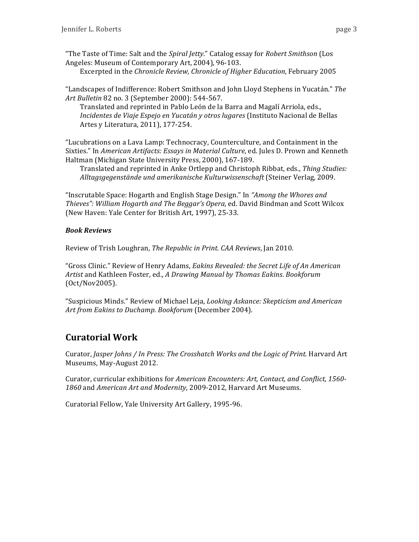Excerpted in the *Chronicle Review, Chronicle of Higher Education*, February 2005

"Landscapes of Indifference: Robert Smithson and John Lloyd Stephens in Yucatán." The Art Bulletin 82 no. 3 (September 2000): 544-567.

Translated and reprinted in Pablo León de la Barra and Magalí Arriola, eds., *Incidentes de Viaje Espejo en Yucatán y otros lugares* (Instituto Nacional de Bellas Artes y Literatura, 2011), 177-254.

"Lucubrations on a Lava Lamp: Technocracy, Counterculture, and Containment in the Sixties." In *American Artifacts: Essays in Material Culture*, ed. Jules D. Prown and Kenneth Haltman (Michigan State University Press, 2000), 167-189.

Translated and reprinted in Anke Ortlepp and Christoph Ribbat, eds., *Thing Studies: Alltagsgegenstände und amerikanische Kulturwissenschaft* (Steiner Verlag, 2009.

"Inscrutable Space: Hogarth and English Stage Design." In "Among the Whores and *Thieves": William Hogarth and The Beggar's Opera,* ed. David Bindman and Scott Wilcox (New Haven: Yale Center for British Art, 1997), 25-33.

# *Book Reviews*

Review of Trish Loughran, *The Republic in Print. CAA Reviews*, Jan 2010.

"Gross Clinic." Review of Henry Adams, *Eakins Revealed: the Secret Life of An American Artist* and Kathleen Foster, ed., *A Drawing Manual by Thomas Eakins*. *Bookforum* (Oct/Nov2005).

"Suspicious Minds." Review of Michael Leja, *Looking Askance: Skepticism and American Art from Eakins to Duchamp. Bookforum* (December 2004).

# **Curatorial Work**

Curator, *Jasper Johns / In Press: The Crosshatch Works and the Logic of Print.* Harvard Art Museums, May-August 2012.

Curator, curricular exhibitions for *American Encounters: Art, Contact, and Conflict, 1560-*1860 and American Art and Modernity, 2009-2012, Harvard Art Museums.

Curatorial Fellow, Yale University Art Gallery, 1995-96.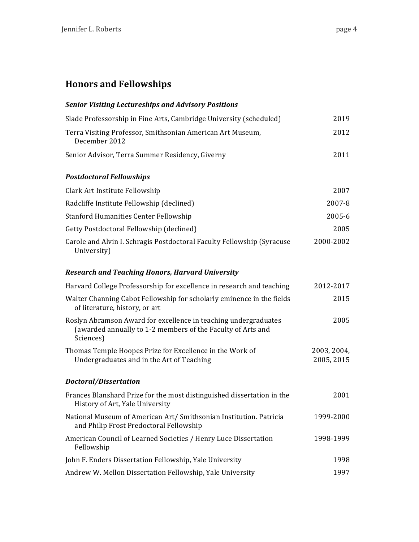# **Honors and Fellowships**

| <b>Senior Visiting Lectureships and Advisory Positions</b>                                                                                  |                           |
|---------------------------------------------------------------------------------------------------------------------------------------------|---------------------------|
| Slade Professorship in Fine Arts, Cambridge University (scheduled)                                                                          | 2019                      |
| Terra Visiting Professor, Smithsonian American Art Museum,<br>December 2012                                                                 | 2012                      |
| Senior Advisor, Terra Summer Residency, Giverny                                                                                             | 2011                      |
| <b>Postdoctoral Fellowships</b>                                                                                                             |                           |
| Clark Art Institute Fellowship                                                                                                              | 2007                      |
| Radcliffe Institute Fellowship (declined)                                                                                                   | 2007-8                    |
| <b>Stanford Humanities Center Fellowship</b>                                                                                                | 2005-6                    |
| Getty Postdoctoral Fellowship (declined)                                                                                                    | 2005                      |
| Carole and Alvin I. Schragis Postdoctoral Faculty Fellowship (Syracuse<br>University)                                                       | 2000-2002                 |
| <b>Research and Teaching Honors, Harvard University</b>                                                                                     |                           |
| Harvard College Professorship for excellence in research and teaching                                                                       | 2012-2017                 |
| Walter Channing Cabot Fellowship for scholarly eminence in the fields<br>of literature, history, or art                                     | 2015                      |
| Roslyn Abramson Award for excellence in teaching undergraduates<br>(awarded annually to 1-2 members of the Faculty of Arts and<br>Sciences) | 2005                      |
| Thomas Temple Hoopes Prize for Excellence in the Work of<br>Undergraduates and in the Art of Teaching                                       | 2003, 2004,<br>2005, 2015 |
| Doctoral/Dissertation                                                                                                                       |                           |
| Frances Blanshard Prize for the most distinguished dissertation in the<br>History of Art, Yale University                                   | 2001                      |
| National Museum of American Art/ Smithsonian Institution. Patricia<br>and Philip Frost Predoctoral Fellowship                               | 1999-2000                 |
| American Council of Learned Societies / Henry Luce Dissertation<br>Fellowship                                                               | 1998-1999                 |
| John F. Enders Dissertation Fellowship, Yale University                                                                                     | 1998                      |
| Andrew W. Mellon Dissertation Fellowship, Yale University                                                                                   | 1997                      |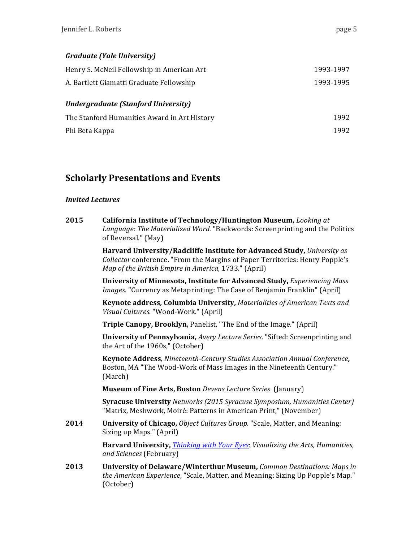# *Graduate (Yale University)*

| Henry S. McNeil Fellowship in American Art   | 1993-1997 |
|----------------------------------------------|-----------|
| A. Bartlett Giamatti Graduate Fellowship     | 1993-1995 |
| <b>Undergraduate (Stanford University)</b>   |           |
| The Stanford Humanities Award in Art History | 1992      |
| Phi Beta Kappa                               | 1992      |
|                                              |           |

# **Scholarly Presentations and Events**

### *Invited Lectures*

| 2015 | California Institute of Technology/Huntington Museum, Looking at             |
|------|------------------------------------------------------------------------------|
|      | Language: The Materialized Word. "Backwords: Screenprinting and the Politics |
|      | of Reversal." (May)                                                          |

**Harvard University/Radcliffe Institute for Advanced Study, University as** *Collector* conference. "From the Margins of Paper Territories: Henry Popple's *Map of the British Empire in America,* 1733." (April)

**University of Minnesota, Institute for Advanced Study,** *Experiencing Mass Images.* "Currency as Metaprinting: The Case of Benjamin Franklin" (April)

**Keynote address, Columbia University, Materialities of American Texts and** *Visual Cultures*. "Wood-Work." (April)

**Triple Canopy, Brooklyn, Panelist, "The End of the Image." (April)** 

**University of Pennsylvania,** *Avery Lecture Series*. "Sifted: Screenprinting and the Art of the 1960s," (October)

**Keynote Address***, Nineteenth-Century Studies Association Annual Conference***,**  Boston, MA "The Wood-Work of Mass Images in the Nineteenth Century." (March)

**Museum of Fine Arts, Boston** *Devens Lecture Series* (January)

**Syracuse University** Networks (2015 Syracuse Symposium, Humanities Center) "Matrix, Meshwork, Moiré: Patterns in American Print," (November)

**2014 University of Chicago,** *Object Cultures Group.* "Scale, Matter, and Meaning: Sizing up Maps." (April)

> **Harvard University,** *Thinking with Your Eyes: Visualizing the Arts, Humanities, and Sciences* (February)

**2013** University of Delaware/Winterthur Museum, *Common Destinations: Maps in the American Experience*, "Scale, Matter, and Meaning: Sizing Up Popple's Map." (October)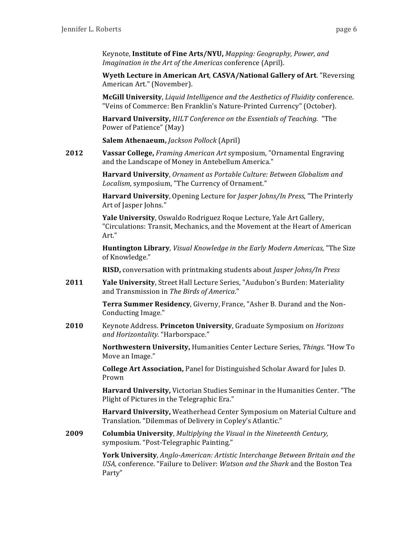Keynote, **Institute of Fine Arts/NYU**, *Mapping: Geography, Power, and Imagination in the Art of the Americas* conference (April).

**Wyeth Lecture in American Art, CASVA/National Gallery of Art. "Reversing** American Art." (November).

**McGill University**, *Liquid Intelligence and the Aesthetics of Fluidity* conference. "Veins of Commerce: Ben Franklin's Nature-Printed Currency" (October).

**Harvard University,** *HILT Conference on the Essentials of Teaching.* "The Power of Patience" (May)

**Salem Athenaeum,** *Jackson Pollock* (April)

**2012 Vassar College,** *Framing American Art* symposium, "Ornamental Engraving and the Landscape of Money in Antebellum America."

> **Harvard University**, Ornament as Portable Culture: Between Globalism and Localism, symposium, "The Currency of Ornament."

**Harvard University**, Opening Lecture for *Jasper Johns/In Press*, "The Printerly Art of Jasper Johns."

**Yale University**, Oswaldo Rodriguez Roque Lecture, Yale Art Gallery, "Circulations: Transit, Mechanics, and the Movement at the Heart of American Art."

**Huntington Library**, *Visual Knowledge in the Early Modern Americas*, "The Size of Knowledge."

**RISD,** conversation with printmaking students about *Jasper Johns/In Press* 

**2011** Yale University, Street Hall Lecture Series, "Audubon's Burden: Materiality and Transmission in The Birds of America."

> **Terra Summer Residency**, Giverny, France, "Asher B. Durand and the Non-Conducting Image."

**2010** Keynote Address. Princeton University, Graduate Symposium on *Horizons and Horizontality.* "Harborspace."

> **Northwestern University, Humanities Center Lecture Series,** *Things.* **"How To** Move an Image."

**College Art Association, Panel for Distinguished Scholar Award for Jules D.** Prown

**Harvard University,** Victorian Studies Seminar in the Humanities Center. "The Plight of Pictures in the Telegraphic Era."

**Harvard University, Weatherhead Center Symposium on Material Culture and** Translation. "Dilemmas of Delivery in Copley's Atlantic."

**2009 Columbia University**, *Multiplying the Visual in the Nineteenth Century,* symposium. "Post-Telegraphic Painting."

> **York University**, *Anglo-American: Artistic Interchange Between Britain and the USA,* conference. "Failure to Deliver: *Watson and the Shark* and the Boston Tea Party"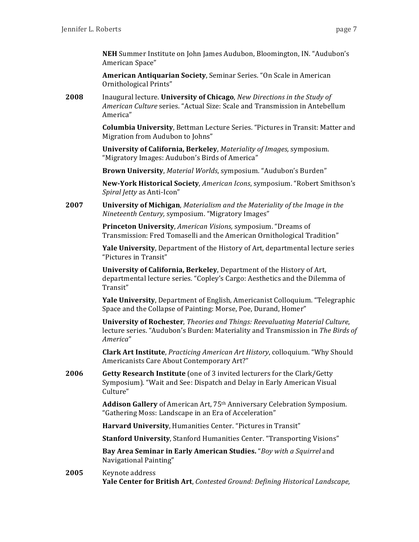**NEH** Summer Institute on John James Audubon, Bloomington, IN. "Audubon's American Space"

**American Antiquarian Society**, Seminar Series. "On Scale in American Ornithological Prints"

**2008** Inaugural lecture. **University of Chicago**, *New Directions in the Study of American Culture* series. "Actual Size: Scale and Transmission in Antebellum America"

> **Columbia University, Bettman Lecture Series.** "Pictures in Transit: Matter and Migration from Audubon to Johns"

**University of California, Berkeley**, *Materiality of Images*, symposium. "Migratory Images: Audubon's Birds of America"

**Brown University**, *Material Worlds*, symposium. "Audubon's Burden"

New-York Historical Society, *American Icons*, symposium. "Robert Smithson's *Spiral Jetty* as Anti-Icon" 

**2007 University of Michigan**, *Materialism and the Materiality of the Image in the Nineteenth Century,* symposium. "Migratory Images"

> **Princeton University, American Visions, symposium.** "Dreams of Transmission: Fred Tomaselli and the American Ornithological Tradition"

**Yale University**, Department of the History of Art, departmental lecture series "Pictures in Transit"

**University of California, Berkeley**, Department of the History of Art, departmental lecture series. "Copley's Cargo: Aesthetics and the Dilemma of Transit" 

**Yale University**, Department of English, Americanist Colloquium. "Telegraphic Space and the Collapse of Painting: Morse, Poe, Durand, Homer"

**University of Rochester**, *Theories and Things: Reevaluating Material Culture*, lecture series. "Audubon's Burden: Materiality and Transmission in *The Birds of America*" 

**Clark Art Institute**, *Practicing American Art History*, colloquium. "Why Should Americanists Care About Contemporary Art?"

**2006 Getty Research Institute** (one of 3 invited lecturers for the Clark/Getty Symposium). "Wait and See: Dispatch and Delay in Early American Visual Culture" 

> **Addison Gallery** of American Art, 75<sup>th</sup> Anniversary Celebration Symposium. "Gathering Moss: Landscape in an Era of Acceleration"

**Harvard University**, Humanities Center. "Pictures in Transit"

**Stanford University, Stanford Humanities Center.** "Transporting Visions"

**Bay Area Seminar in Early American Studies.** "Boy with a Squirrel and Navigational Painting"

2005 Keynote address **Yale Center for British Art**, *Contested Ground: Defining Historical Landscape,*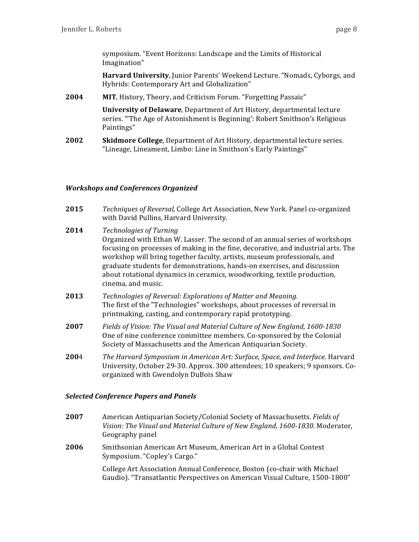symposium. "Event Horizons: Landscape and the Limits of Historical Imagination" 

**Harvard University**, Junior Parents' Weekend Lecture. "Nomads, Cyborgs, and Hybrids: Contemporary Art and Globalization"

2004 **MIT**, History, Theory, and Criticism Forum. "Forgetting Passaic"

**University of Delaware**, Department of Art History, departmental lecture series. "The Age of Astonishment is Beginning': Robert Smithson's Religious Paintings" 

**2002 Skidmore College**, Department of Art History, departmental lecture series. "Lineage, Lineament, Limbo: Line in Smithson's Early Paintings"

### *Workshops and Conferences Organized*

- **2015** *Techniques of Reversal,* College Art Association, New York. Panel co-organized with David Pullins, Harvard University.
- **2014** *Technologies of Turning* Organized with Ethan W. Lasser. The second of an annual series of workshops focusing on processes of making in the fine, decorative, and industrial arts. The workshop will bring together faculty, artists, museum professionals, and graduate students for demonstrations, hands-on exercises, and discussion about rotational dynamics in ceramics, woodworking, textile production, cinema, and music.
- **2013** *Technologies of Reversal: Explorations of Matter and Meaning.* The first of the "Technologies" workshops, about processes of reversal in printmaking, casting, and contemporary rapid prototyping.
- **2007** *Fields of Vision: The Visual and Material Culture of New England, 1600-1830* One of nine conference committee members. Co-sponsored by the Colonial Society of Massachusetts and the American Antiquarian Society.
- **200**4 *The Harvard Symposium in American Art: Surface, Space, and Interface. Harvard* University, October 29-30. Approx. 300 attendees; 10 speakers; 9 sponsors. Coorganized with Gwendolyn DuBois Shaw

### *Selected Conference Papers and Panels*

- **2007** American Antiquarian Society/Colonial Society of Massachusetts. *Fields of* Vision: The Visual and Material Culture of New England, 1600-1830. Moderator, Geography panel
- **2006** Smithsonian American Art Museum, American Art in a Global Context Symposium. "Copley's Cargo."

College Art Association Annual Conference, Boston (co-chair with Michael Gaudio). "Transatlantic Perspectives on American Visual Culture, 1500-1800"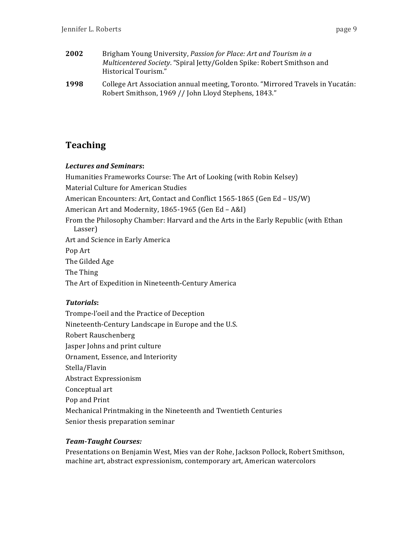- **2002** Brigham Young University, *Passion for Place: Art and Tourism in a Multicentered Society*. "Spiral Jetty/Golden Spike: Robert Smithson and Historical Tourism."
- **1998** College Art Association annual meeting, Toronto. "Mirrored Travels in Yucatán: Robert Smithson, 1969 // John Lloyd Stephens, 1843."

# **Teaching**

# **Lectures and Seminars:**

Humanities Frameworks Course: The Art of Looking (with Robin Kelsey) Material Culture for American Studies American Encounters: Art, Contact and Conflict 1565-1865 (Gen Ed - US/W) American Art and Modernity, 1865-1965 (Gen Ed - A&I) From the Philosophy Chamber: Harvard and the Arts in the Early Republic (with Ethan Lasser) Art and Science in Early America Pop Art The Gilded Age The Thing The Art of Expedition in Nineteenth-Century America

# *Tutorials***:**

Trompe-l'oeil and the Practice of Deception Nineteenth-Century Landscape in Europe and the U.S. Robert Rauschenberg Jasper Johns and print culture Ornament, Essence, and Interiority Stella/Flavin Abstract Expressionism Conceptual art Pop and Print Mechanical Printmaking in the Nineteenth and Twentieth Centuries Senior thesis preparation seminar

# **Team-Taught Courses:**

Presentations on Benjamin West, Mies van der Rohe, Jackson Pollock, Robert Smithson, machine art, abstract expressionism, contemporary art, American watercolors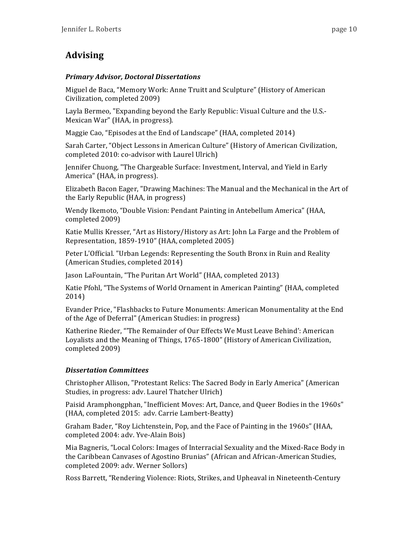# **Advising**

# *Primary Advisor, Doctoral Dissertations*

Miguel de Baca, "Memory Work: Anne Truitt and Sculpture" (History of American Civilization, completed 2009)

Layla Bermeo, "Expanding beyond the Early Republic: Visual Culture and the U.S.-Mexican War" (HAA, in progress).

Maggie Cao, "Episodes at the End of Landscape" (HAA, completed 2014)

Sarah Carter, "Object Lessons in American Culture" (History of American Civilization, completed 2010: co-advisor with Laurel Ulrich)

Jennifer Chuong, "The Chargeable Surface: Investment, Interval, and Yield in Early America" (HAA, in progress).

Elizabeth Bacon Eager, "Drawing Machines: The Manual and the Mechanical in the Art of the Early Republic (HAA, in progress)

Wendy Ikemoto, "Double Vision: Pendant Painting in Antebellum America" (HAA, completed 2009) 

Katie Mullis Kresser, "Art as History/History as Art: John La Farge and the Problem of Representation, 1859-1910" (HAA, completed 2005)

Peter L'Official. "Urban Legends: Representing the South Bronx in Ruin and Reality (American Studies, completed 2014)

Jason LaFountain, "The Puritan Art World" (HAA, completed 2013)

Katie Pfohl, "The Systems of World Ornament in American Painting" (HAA, completed 2014) 

Evander Price, "Flashbacks to Future Monuments: American Monumentality at the End of the Age of Deferral" (American Studies: in progress)

Katherine Rieder, "'The Remainder of Our Effects We Must Leave Behind': American Loyalists and the Meaning of Things, 1765-1800" (History of American Civilization, completed 2009) 

# *Dissertation Committees*

Christopher Allison, "Protestant Relics: The Sacred Body in Early America" (American Studies, in progress: adv. Laurel Thatcher Ulrich)

Paisid Aramphongphan, "Inefficient Moves: Art, Dance, and Queer Bodies in the 1960s" (HAA, completed 2015: adv. Carrie Lambert-Beatty)

Graham Bader, "Roy Lichtenstein, Pop, and the Face of Painting in the 1960s" (HAA, completed 2004: adv. Yve-Alain Bois)

Mia Bagneris, "Local Colors: Images of Interracial Sexuality and the Mixed-Race Body in the Caribbean Canvases of Agostino Brunias" (African and African-American Studies, completed 2009: adv. Werner Sollors)

Ross Barrett, "Rendering Violence: Riots, Strikes, and Upheaval in Nineteenth-Century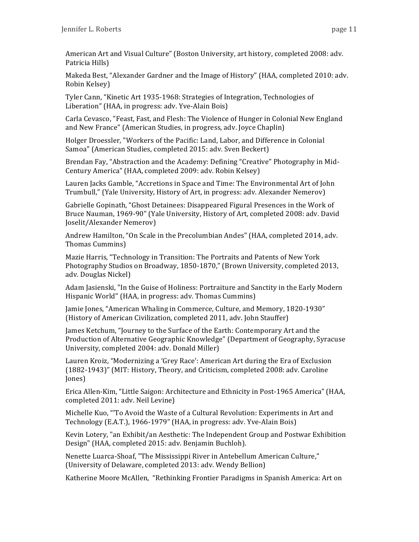American Art and Visual Culture" (Boston University, art history, completed 2008: adv. Patricia Hills)

Makeda Best, "Alexander Gardner and the Image of History" (HAA, completed 2010: adv. Robin Kelsey) 

Tyler Cann, "Kinetic Art 1935-1968: Strategies of Integration, Technologies of Liberation" (HAA, in progress: adv. Yve-Alain Bois)

Carla Cevasco, "Feast, Fast, and Flesh: The Violence of Hunger in Colonial New England and New France" (American Studies, in progress, adv. Joyce Chaplin)

Holger Droessler, "Workers of the Pacific: Land, Labor, and Difference in Colonial Samoa" (American Studies, completed 2015: adv. Sven Beckert)

Brendan Fay, "Abstraction and the Academy: Defining "Creative" Photography in Mid-Century America" (HAA, completed 2009: adv. Robin Kelsey)

Lauren Jacks Gamble, "Accretions in Space and Time: The Environmental Art of John Trumbull," (Yale University, History of Art, in progress: adv. Alexander Nemerov)

Gabrielle Gopinath, "Ghost Detainees: Disappeared Figural Presences in the Work of Bruce Nauman, 1969-90" (Yale University, History of Art, completed 2008: adv. David Joselit/Alexander Nemerov) 

Andrew Hamilton, "On Scale in the Precolumbian Andes" (HAA, completed 2014, adv. Thomas Cummins) 

Mazie Harris, "Technology in Transition: The Portraits and Patents of New York Photography Studios on Broadway, 1850-1870," (Brown University, completed 2013, adv. Douglas Nickel)

Adam Jasienski, "In the Guise of Holiness: Portraiture and Sanctity in the Early Modern Hispanic World" (HAA, in progress: adv. Thomas Cummins)

Jamie Jones, "American Whaling in Commerce, Culture, and Memory, 1820-1930" (History of American Civilization, completed 2011, adv. John Stauffer)

James Ketchum, "Journey to the Surface of the Earth: Contemporary Art and the Production of Alternative Geographic Knowledge" (Department of Geography, Syracuse University, completed 2004: adv. Donald Miller)

Lauren Kroiz, "Modernizing a 'Grey Race': American Art during the Era of Exclusion  $(1882-1943)$ " (MIT: History, Theory, and Criticism, completed 2008: adv. Caroline Jones) 

Erica Allen-Kim, "Little Saigon: Architecture and Ethnicity in Post-1965 America" (HAA, completed 2011: adv. Neil Levine)

Michelle Kuo, "'To Avoid the Waste of a Cultural Revolution: Experiments in Art and Technology (E.A.T.), 1966-1979" (HAA, in progress: adv. Yve-Alain Bois)

Kevin Lotery, "an Exhibit/an Aesthetic: The Independent Group and Postwar Exhibition Design" (HAA, completed 2015: adv. Benjamin Buchloh).

Nenette Luarca-Shoaf, "The Mississippi River in Antebellum American Culture," (University of Delaware, completed 2013: adv. Wendy Bellion)

Katherine Moore McAllen, "Rethinking Frontier Paradigms in Spanish America: Art on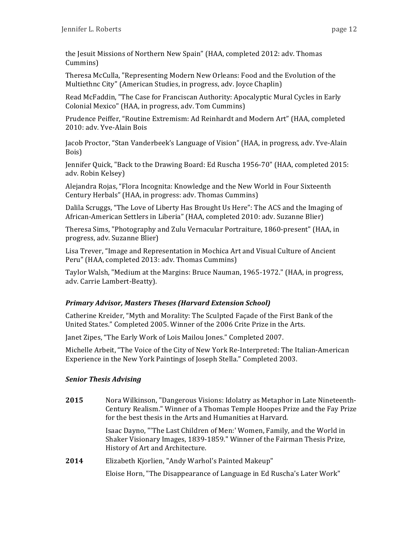the Jesuit Missions of Northern New Spain" (HAA, completed 2012: adv. Thomas Cummins) 

Theresa McCulla, "Representing Modern New Orleans: Food and the Evolution of the Multiethnc City" (American Studies, in progress, adv. Joyce Chaplin)

Read McFaddin, "The Case for Franciscan Authority: Apocalyptic Mural Cycles in Early Colonial Mexico" (HAA, in progress, adv. Tom Cummins)

Prudence Peiffer, "Routine Extremism: Ad Reinhardt and Modern Art" (HAA, completed 2010: adv. Yve-Alain Bois

Jacob Proctor, "Stan Vanderbeek's Language of Vision" (HAA, in progress, adv. Yve-Alain Bois) 

Jennifer Quick, "Back to the Drawing Board: Ed Ruscha 1956-70" (HAA, completed 2015: adv. Robin Kelsey)

Alejandra Rojas, "Flora Incognita: Knowledge and the New World in Four Sixteenth Century Herbals" (HAA, in progress: adv. Thomas Cummins)

Dalila Scruggs, "The Love of Liberty Has Brought Us Here": The ACS and the Imaging of African-American Settlers in Liberia" (HAA, completed 2010: adv. Suzanne Blier)

Theresa Sims, "Photography and Zulu Vernacular Portraiture, 1860-present" (HAA, in progress, adv. Suzanne Blier)

Lisa Trever, "Image and Representation in Mochica Art and Visual Culture of Ancient Peru" (HAA, completed 2013: adv. Thomas Cummins)

Taylor Walsh, "Medium at the Margins: Bruce Nauman, 1965-1972." (HAA, in progress, adv. Carrie Lambert-Beatty).

# *Primary Advisor, Masters Theses (Harvard Extension School)*

Catherine Kreider, "Myth and Morality: The Sculpted Façade of the First Bank of the United States." Completed 2005. Winner of the 2006 Crite Prize in the Arts.

Janet Zipes, "The Early Work of Lois Mailou Jones." Completed 2007.

Michelle Arbeit, "The Voice of the City of New York Re-Interpreted: The Italian-American Experience in the New York Paintings of Joseph Stella." Completed 2003.

# *Senior Thesis Advising*

**2015** Nora Wilkinson, "Dangerous Visions: Idolatry as Metaphor in Late Nineteenth-Century Realism." Winner of a Thomas Temple Hoopes Prize and the Fay Prize for the best thesis in the Arts and Humanities at Harvard.

> Isaac Dayno, "'The Last Children of Men:' Women, Family, and the World in Shaker Visionary Images, 1839-1859." Winner of the Fairman Thesis Prize, History of Art and Architecture.

**2014** Elizabeth Kjorlien, "Andy Warhol's Painted Makeup"

Eloise Horn, "The Disappearance of Language in Ed Ruscha's Later Work"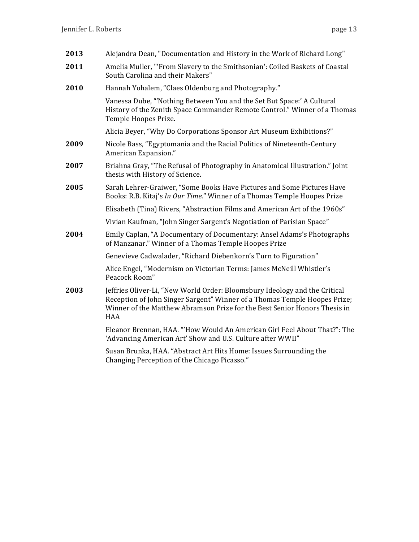| 2013 | Alejandra Dean, "Documentation and History in the Work of Richard Long"                                                                                                                                                                            |
|------|----------------------------------------------------------------------------------------------------------------------------------------------------------------------------------------------------------------------------------------------------|
| 2011 | Amelia Muller, "'From Slavery to the Smithsonian': Coiled Baskets of Coastal<br>South Carolina and their Makers"                                                                                                                                   |
| 2010 | Hannah Yohalem, "Claes Oldenburg and Photography."                                                                                                                                                                                                 |
|      | Vanessa Dube, "Nothing Between You and the Set But Space:' A Cultural<br>History of the Zenith Space Commander Remote Control." Winner of a Thomas<br>Temple Hoopes Prize.                                                                         |
|      | Alicia Beyer, "Why Do Corporations Sponsor Art Museum Exhibitions?"                                                                                                                                                                                |
| 2009 | Nicole Bass, "Egyptomania and the Racial Politics of Nineteenth-Century<br>American Expansion."                                                                                                                                                    |
| 2007 | Briahna Gray, "The Refusal of Photography in Anatomical Illustration." Joint<br>thesis with History of Science.                                                                                                                                    |
| 2005 | Sarah Lehrer-Graiwer, "Some Books Have Pictures and Some Pictures Have<br>Books: R.B. Kitaj's In Our Time." Winner of a Thomas Temple Hoopes Prize                                                                                                 |
|      | Elisabeth (Tina) Rivers, "Abstraction Films and American Art of the 1960s"                                                                                                                                                                         |
|      | Vivian Kaufman, "John Singer Sargent's Negotiation of Parisian Space"                                                                                                                                                                              |
| 2004 | Emily Caplan, "A Documentary of Documentary: Ansel Adams's Photographs<br>of Manzanar." Winner of a Thomas Temple Hoopes Prize                                                                                                                     |
|      | Genevieve Cadwalader, "Richard Diebenkorn's Turn to Figuration"                                                                                                                                                                                    |
|      | Alice Engel, "Modernism on Victorian Terms: James McNeill Whistler's<br>Peacock Room"                                                                                                                                                              |
| 2003 | Jeffries Oliver-Li, "New World Order: Bloomsbury Ideology and the Critical<br>Reception of John Singer Sargent" Winner of a Thomas Temple Hoopes Prize;<br>Winner of the Matthew Abramson Prize for the Best Senior Honors Thesis in<br><b>HAA</b> |
|      | Eleanor Brennan, HAA. "'How Would An American Girl Feel About That?": The<br>'Advancing American Art' Show and U.S. Culture after WWII"                                                                                                            |
|      | Susan Brunka, HAA. "Abstract Art Hits Home: Issues Surrounding the<br>Changing Perception of the Chicago Picasso."                                                                                                                                 |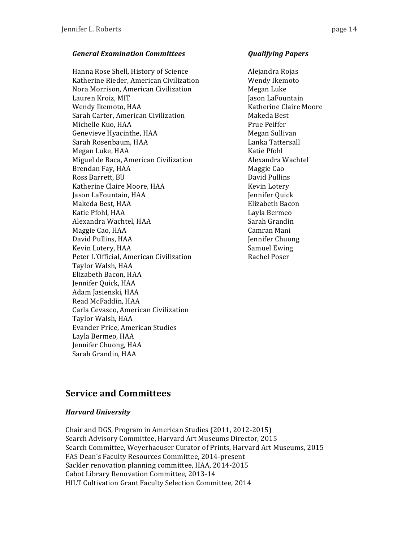### *General Examination Committees Qualifying Papers*

Hanna Rose Shell, History of Science **Alegandra** Rojas Katherine Rieder, American Civilization Wendy Ikemoto Nora Morrison, American Civilization **Megan** Luke Lauren Kroiz, MIT **Jason** Laguan Laguan Lafountain Wendy Ikemoto, HAA The Claire Moore Claire Moore Sarah Carter, American Civilization Makeda Best Michelle Kuo, HAA Prue Peiffer Genevieve Hyacinthe, HAA Megan Sullivan Sarah Rosenbaum, HAA Lanka Tattersall Megan Luke, HAA Katie Pfohl Miguel de Baca, American Civilization **Alexandra Wachtel** Brendan Fay, HAA Maggie Cao Ross Barrett, BU David Pullins Katherine Claire Moore, HAA Kevin Lotery Jason LaFountain, HAA Jennifer Quick Makeda Best, HAA **Elizabeth** Bacon Katie Pfohl, HAA Layla Bermeo Alexandra Wachtel, HAA Sarah Grandin Maggie Cao, HAA Camran Mani David Pullins, HAA Jennifer Chuong Kevin Lotery, HAA Samuel Ewing Peter L'Official, American Civilization Rachel Poser Taylor Walsh, HAA Elizabeth Bacon, HAA Jennifer Quick, HAA Adam Jasienski, HAA Read McFaddin, HAA Carla Cevasco, American Civilization Taylor Walsh, HAA Evander Price, American Studies Layla Bermeo, HAA Jennifer Chuong, HAA Sarah Grandin, HAA

# **Service and Committees**

# *Harvard University*

Chair and DGS, Program in American Studies (2011, 2012-2015) Search Advisory Committee, Harvard Art Museums Director, 2015 Search Committee, Weyerhaeuser Curator of Prints, Harvard Art Museums, 2015 FAS Dean's Faculty Resources Committee, 2014-present Sackler renovation planning committee, HAA, 2014-2015 Cabot Library Renovation Committee, 2013-14 HILT Cultivation Grant Faculty Selection Committee, 2014